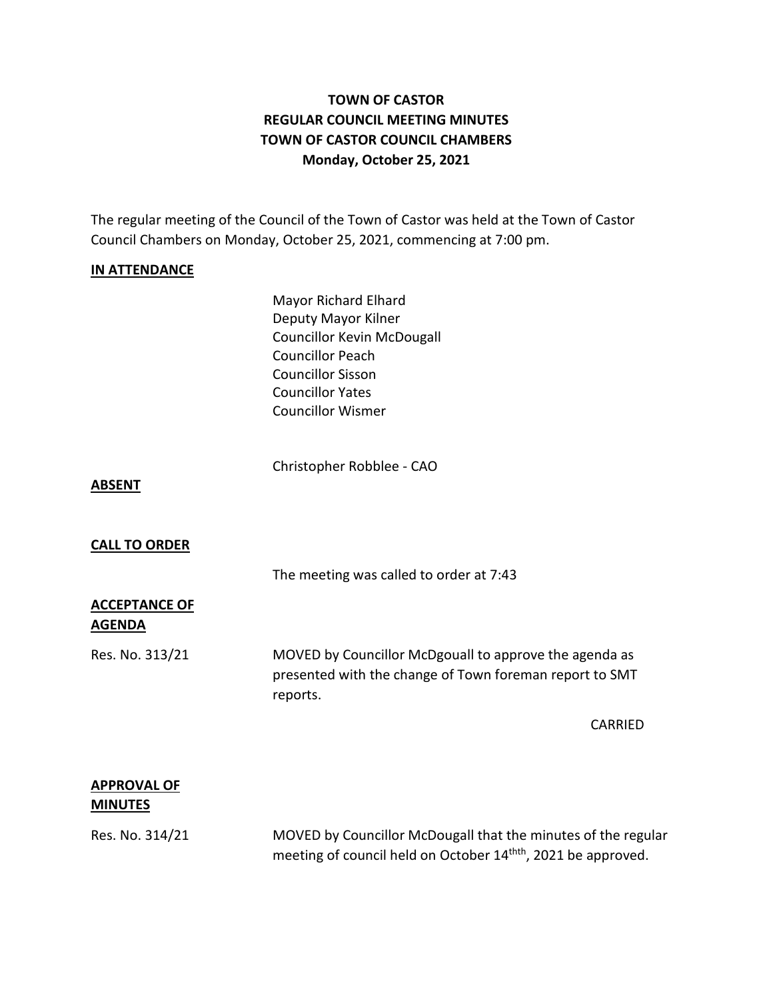# **TOWN OF CASTOR REGULAR COUNCIL MEETING MINUTES TOWN OF CASTOR COUNCIL CHAMBERS Monday, October 25, 2021**

The regular meeting of the Council of the Town of Castor was held at the Town of Castor Council Chambers on Monday, October 25, 2021, commencing at 7:00 pm.

### **IN ATTENDANCE**

Mayor Richard Elhard Deputy Mayor Kilner Councillor Kevin McDougall Councillor Peach Councillor Sisson Councillor Yates Councillor Wismer

Christopher Robblee - CAO

#### **ABSENT**

#### **CALL TO ORDER**

The meeting was called to order at 7:43

### **ACCEPTANCE OF AGENDA**

Res. No. 313/21 MOVED by Councillor McDgouall to approve the agenda as presented with the change of Town foreman report to SMT reports.

CARRIED

## **APPROVAL OF MINUTES**

Res. No. 314/21 MOVED by Councillor McDougall that the minutes of the regular meeting of council held on October 14<sup>thth</sup>, 2021 be approved.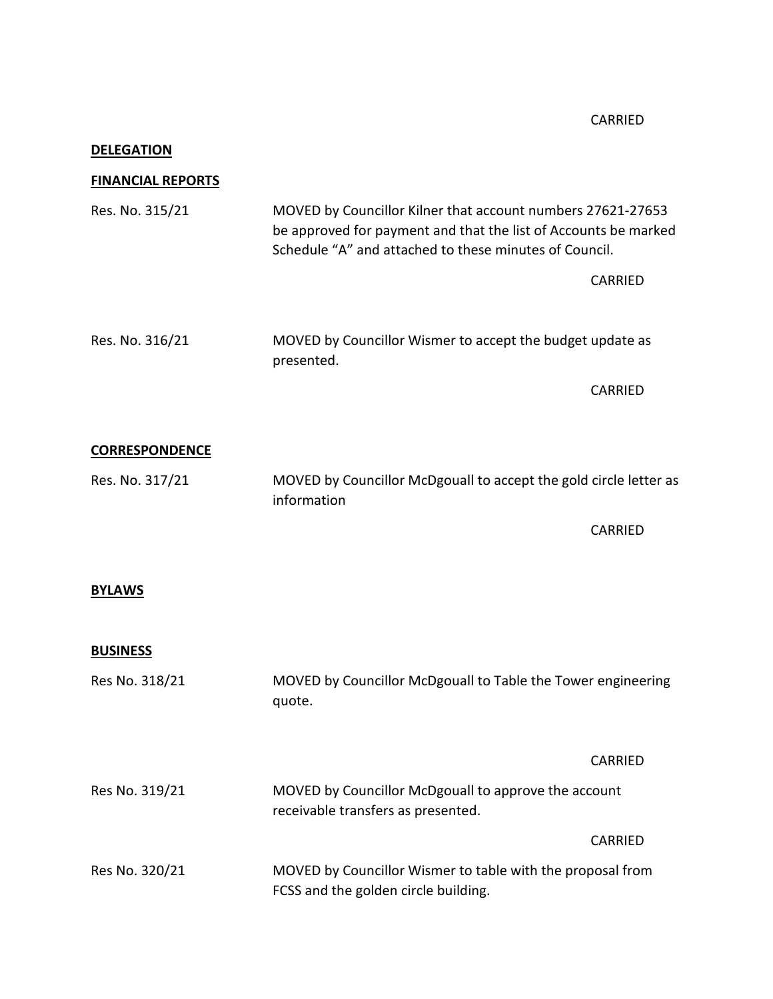CARRIED

## **DELEGATION**

## **FINANCIAL REPORTS**

| Res. No. 315/21       | MOVED by Councillor Kilner that account numbers 27621-27653<br>be approved for payment and that the list of Accounts be marked<br>Schedule "A" and attached to these minutes of Council. |                |
|-----------------------|------------------------------------------------------------------------------------------------------------------------------------------------------------------------------------------|----------------|
|                       |                                                                                                                                                                                          | <b>CARRIED</b> |
| Res. No. 316/21       | MOVED by Councillor Wismer to accept the budget update as<br>presented.                                                                                                                  |                |
|                       |                                                                                                                                                                                          | <b>CARRIED</b> |
| <b>CORRESPONDENCE</b> |                                                                                                                                                                                          |                |
| Res. No. 317/21       | MOVED by Councillor McDgouall to accept the gold circle letter as<br>information                                                                                                         |                |
|                       |                                                                                                                                                                                          | <b>CARRIED</b> |
| <b>BYLAWS</b>         |                                                                                                                                                                                          |                |
| <b>BUSINESS</b>       |                                                                                                                                                                                          |                |
| Res No. 318/21        | MOVED by Councillor McDgouall to Table the Tower engineering<br>quote.                                                                                                                   |                |
|                       |                                                                                                                                                                                          | CARRIED        |
| Res No. 319/21        | MOVED by Councillor McDgouall to approve the account<br>receivable transfers as presented.                                                                                               |                |
|                       |                                                                                                                                                                                          | <b>CARRIED</b> |
| Res No. 320/21        | MOVED by Councillor Wismer to table with the proposal from                                                                                                                               |                |

FCSS and the golden circle building.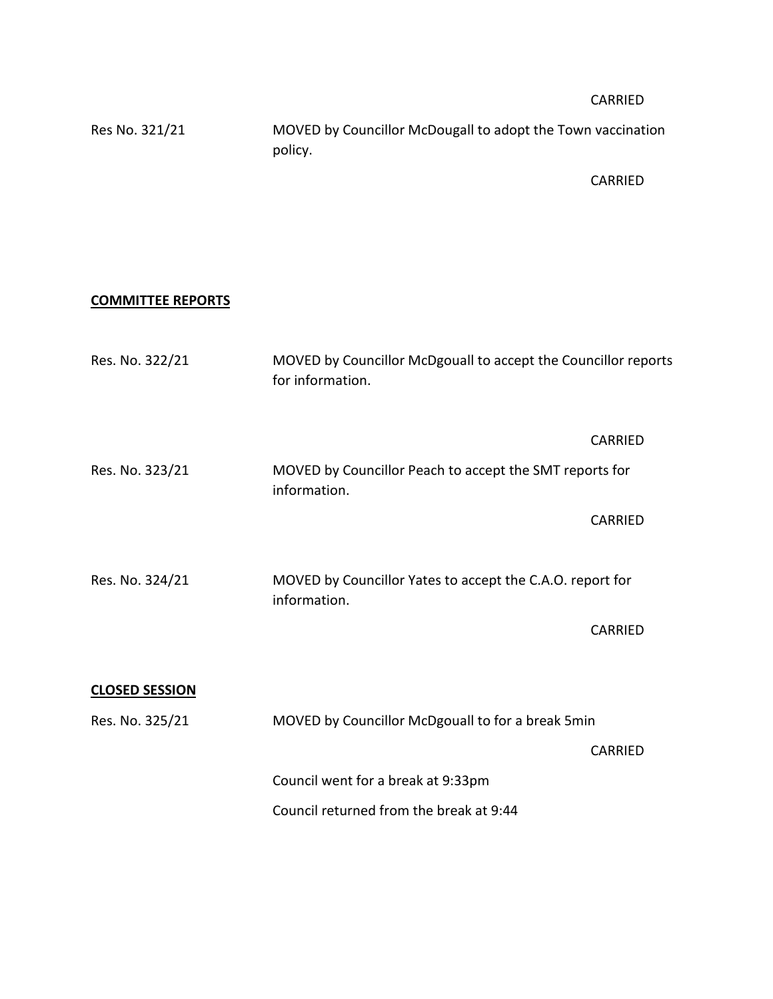CARRIED

| Res No. 321/21 | MOVED by Councillor McDougall to adopt the Town vaccination |
|----------------|-------------------------------------------------------------|
|                | policy.                                                     |

CARRIED

## **COMMITTEE REPORTS**

| Res. No. 322/21       | MOVED by Councillor McDgouall to accept the Councillor reports<br>for information. |                |  |
|-----------------------|------------------------------------------------------------------------------------|----------------|--|
|                       |                                                                                    | <b>CARRIED</b> |  |
| Res. No. 323/21       | MOVED by Councillor Peach to accept the SMT reports for<br>information.            |                |  |
|                       |                                                                                    | <b>CARRIED</b> |  |
| Res. No. 324/21       | MOVED by Councillor Yates to accept the C.A.O. report for<br>information.          |                |  |
|                       |                                                                                    | <b>CARRIED</b> |  |
| <b>CLOSED SESSION</b> |                                                                                    |                |  |
| Res. No. 325/21       | MOVED by Councillor McDgouall to for a break 5min                                  |                |  |
|                       |                                                                                    | <b>CARRIED</b> |  |
|                       | Council went for a break at 9:33pm                                                 |                |  |
|                       | Council returned from the break at 9:44                                            |                |  |